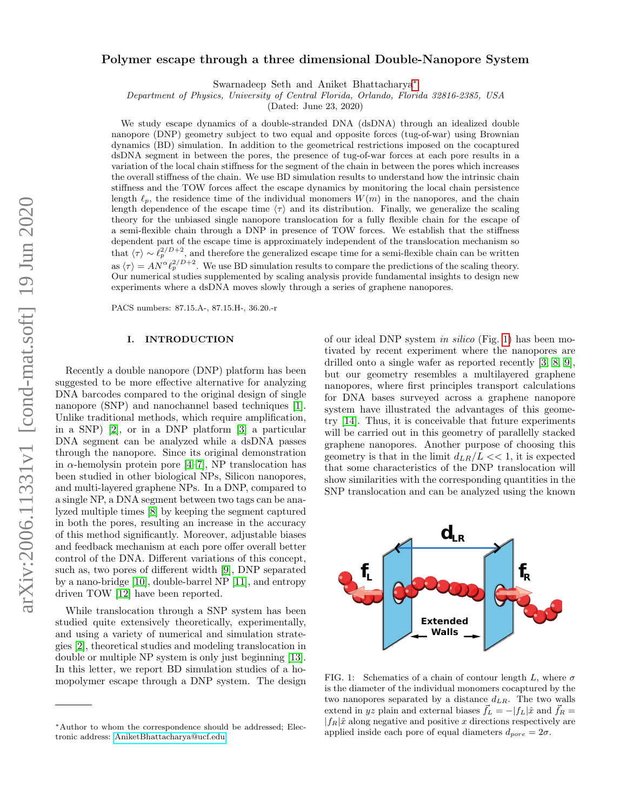## Polymer escape through a three dimensional Double-Nanopore System

Swarnadeep Seth and Aniket Bhattacharya[∗](#page-0-0)

Department of Physics, University of Central Florida, Orlando, Florida 32816-2385, USA

(Dated: June 23, 2020)

We study escape dynamics of a double-stranded DNA (dsDNA) through an idealized double nanopore (DNP) geometry subject to two equal and opposite forces (tug-of-war) using Brownian dynamics (BD) simulation. In addition to the geometrical restrictions imposed on the cocaptured dsDNA segment in between the pores, the presence of tug-of-war forces at each pore results in a variation of the local chain stiffness for the segment of the chain in between the pores which increases the overall stiffness of the chain. We use BD simulation results to understand how the intrinsic chain stiffness and the TOW forces affect the escape dynamics by monitoring the local chain persistence length  $\ell_p$ , the residence time of the individual monomers  $W(m)$  in the nanopores, and the chain length dependence of the escape time  $\langle \tau \rangle$  and its distribution. Finally, we generalize the scaling theory for the unbiased single nanopore translocation for a fully flexible chain for the escape of a semi-flexible chain through a DNP in presence of TOW forces. We establish that the stiffness dependent part of the escape time is approximately independent of the translocation mechanism so that  $\langle \tau \rangle \sim \ell_p^{2/D+2}$ , and therefore the generalized escape time for a semi-flexible chain can be written as  $\langle \tau \rangle = A N^{\alpha} \ell_p^{2/D+2}$ . We use BD simulation results to compare the predictions of the scaling theory. Our numerical studies supplemented by scaling analysis provide fundamental insights to design new experiments where a dsDNA moves slowly through a series of graphene nanopores.

PACS numbers: 87.15.A-, 87.15.H-, 36.20.-r

## I. INTRODUCTION

Recently a double nanopore (DNP) platform has been suggested to be more effective alternative for analyzing DNA barcodes compared to the original design of single nanopore (SNP) and nanochannel based techniques [\[1\]](#page-6-0). Unlike traditional methods, which require amplification, in a SNP) [\[2\]](#page-6-1), or in a DNP platform [\[3\]](#page-6-2) a particular DNA segment can be analyzed while a dsDNA passes through the nanopore. Since its original demonstration in  $\alpha$ -hemolysin protein pore [\[4](#page-6-3)[–7\]](#page-6-4), NP translocation has been studied in other biological NPs, Silicon nanopores, and multi-layered graphene NPs. In a DNP, compared to a single NP, a DNA segment between two tags can be analyzed multiple times [\[8\]](#page-6-5) by keeping the segment captured in both the pores, resulting an increase in the accuracy of this method significantly. Moreover, adjustable biases and feedback mechanism at each pore offer overall better control of the DNA. Different variations of this concept, such as, two pores of different width [\[9\]](#page-6-6), DNP separated by a nano-bridge [\[10\]](#page-6-7), double-barrel NP [\[11\]](#page-6-8), and entropy driven TOW [\[12\]](#page-6-9) have been reported.

While translocation through a SNP system has been studied quite extensively theoretically, experimentally, and using a variety of numerical and simulation strategies [\[2\]](#page-6-1), theoretical studies and modeling translocation in double or multiple NP system is only just beginning [\[13\]](#page-6-10). In this letter, we report BD simulation studies of a homopolymer escape through a DNP system. The design of our ideal DNP system in silico (Fig. [1\)](#page-0-1) has been motivated by recent experiment where the nanopores are drilled onto a single wafer as reported recently [\[3,](#page-6-2) [8,](#page-6-5) [9\]](#page-6-6), but our geometry resembles a multilayered graphene nanopores, where first principles transport calculations for DNA bases surveyed across a graphene nanopore system have illustrated the advantages of this geometry [\[14\]](#page-6-11). Thus, it is conceivable that future experiments will be carried out in this geometry of parallelly stacked graphene nanopores. Another purpose of choosing this geometry is that in the limit  $d_{LR}/L \ll 1$ , it is expected that some characteristics of the DNP translocation will show similarities with the corresponding quantities in the SNP translocation and can be analyzed using the known



<span id="page-0-1"></span>FIG. 1: Schematics of a chain of contour length L, where  $\sigma$ is the diameter of the individual monomers cocaptured by the two nanopores separated by a distance  $d_{LR}$ . The two walls extend in yz plain and external biases  $\vec{f}_L = -|f_L|\hat{x}$  and  $\vec{f}_R =$  $|f_R|\hat{x}$  along negative and positive x directions respectively are applied inside each pore of equal diameters  $d_{pore} = 2\sigma$ .

<span id="page-0-0"></span><sup>∗</sup>Author to whom the correspondence should be addressed; Electronic address: [AniketBhattacharya@ucf.edu](mailto:AniketBhattacharya@ucf.edu)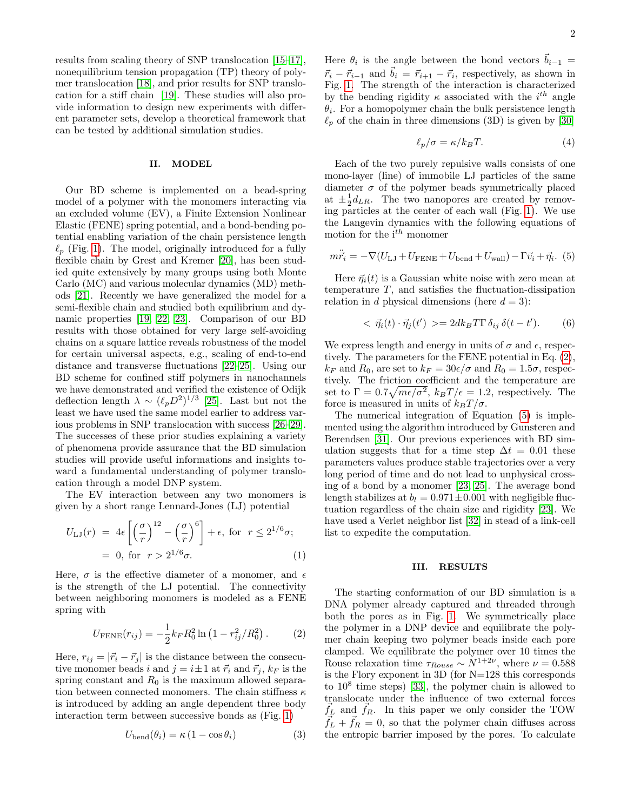results from scaling theory of SNP translocation [\[15–](#page-6-12)[17\]](#page-6-13), nonequilibrium tension propagation (TP) theory of polymer translocation [\[18\]](#page-6-14), and prior results for SNP translocation for a stiff chain [\[19\]](#page-6-15). These studies will also provide information to design new experiments with different parameter sets, develop a theoretical framework that can be tested by additional simulation studies.

#### II. MODEL

Our BD scheme is implemented on a bead-spring model of a polymer with the monomers interacting via an excluded volume (EV), a Finite Extension Nonlinear Elastic (FENE) spring potential, and a bond-bending potential enabling variation of the chain persistence length  $\ell_p$  (Fig. [1\)](#page-0-1). The model, originally introduced for a fully flexible chain by Grest and Kremer [\[20\]](#page-6-16), has been studied quite extensively by many groups using both Monte Carlo (MC) and various molecular dynamics (MD) methods [\[21\]](#page-6-17). Recently we have generalized the model for a semi-flexible chain and studied both equilibrium and dynamic properties [\[19,](#page-6-15) [22,](#page-6-18) [23\]](#page-6-19). Comparison of our BD results with those obtained for very large self-avoiding chains on a square lattice reveals robustness of the model for certain universal aspects, e.g., scaling of end-to-end distance and transverse fluctuations [\[22–](#page-6-18)[25\]](#page-6-20). Using our BD scheme for confined stiff polymers in nanochannels we have demonstrated and verified the existence of Odijk deflection length  $\lambda \sim (\ell_p D^2)^{1/3}$  [\[25\]](#page-6-20). Last but not the least we have used the same model earlier to address various problems in SNP translocation with success [\[26–](#page-6-21)[29\]](#page-7-0). The successes of these prior studies explaining a variety of phenomena provide assurance that the BD simulation studies will provide useful informations and insights toward a fundamental understanding of polymer translocation through a model DNP system.

The EV interaction between any two monomers is given by a short range Lennard-Jones (LJ) potential

$$
U_{\text{LJ}}(r) = 4\epsilon \left[ \left( \frac{\sigma}{r} \right)^{12} - \left( \frac{\sigma}{r} \right)^6 \right] + \epsilon, \text{ for } r \le 2^{1/6}\sigma;
$$
  
= 0, for  $r > 2^{1/6}\sigma$ . (1)

Here,  $\sigma$  is the effective diameter of a monomer, and  $\epsilon$ is the strength of the LJ potential. The connectivity between neighboring monomers is modeled as a FENE spring with

<span id="page-1-0"></span>
$$
U_{\text{FENE}}(r_{ij}) = -\frac{1}{2}k_F R_0^2 \ln\left(1 - r_{ij}^2 / R_0^2\right). \tag{2}
$$

Here,  $r_{ij} = |\vec{r}_i - \vec{r}_j|$  is the distance between the consecutive monomer beads i and  $j = i \pm 1$  at  $\vec{r}_i$  and  $\vec{r}_j$ ,  $k_F$  is the spring constant and  $R_0$  is the maximum allowed separation between connected monomers. The chain stiffness  $\kappa$ is introduced by adding an angle dependent three body interaction term between successive bonds as (Fig. [1\)](#page-0-1)

$$
U_{\text{bend}}(\theta_i) = \kappa \left(1 - \cos \theta_i\right) \tag{3}
$$

Here  $\theta_i$  is the angle between the bond vectors  $\vec{b}_{i-1}$  $\vec{r}_i - \vec{r}_{i-1}$  and  $\vec{b}_i = \vec{r}_{i+1} - \vec{r}_i$ , respectively, as shown in Fig. [1.](#page-0-1) The strength of the interaction is characterized by the bending rigidity  $\kappa$  associated with the  $i^{th}$  angle  $\theta_i$ . For a homopolymer chain the bulk persistence length  $\ell_p$  of the chain in three dimensions (3D) is given by [\[30\]](#page-7-1)

$$
\ell_p/\sigma = \kappa / k_B T. \tag{4}
$$

Each of the two purely repulsive walls consists of one mono-layer (line) of immobile LJ particles of the same diameter  $\sigma$  of the polymer beads symmetrically placed at  $\pm \frac{1}{2}d_{LR}$ . The two nanopores are created by removing particles at the center of each wall (Fig. [1\)](#page-0-1). We use the Langevin dynamics with the following equations of motion for the  $i^{th}$  monomer

<span id="page-1-1"></span>
$$
m\ddot{\vec{r}}_i = -\nabla(U_{\text{LJ}} + U_{\text{FENE}} + U_{\text{bend}} + U_{\text{wall}}) - \Gamma \vec{v}_i + \vec{\eta}_i. (5)
$$

Here  $\vec{\eta}_i(t)$  is a Gaussian white noise with zero mean at temperature  $T$ , and satisfies the fluctuation-dissipation relation in d physical dimensions (here  $d = 3$ ):

$$
\langle \vec{\eta}_i(t) \cdot \vec{\eta}_j(t') \rangle = 2dk_B T \Gamma \delta_{ij} \delta(t - t'). \tag{6}
$$

We express length and energy in units of  $\sigma$  and  $\epsilon$ , respectively. The parameters for the FENE potential in Eq. [\(2\)](#page-1-0),  $k_F$  and  $R_0$ , are set to  $k_F = 30\epsilon/\sigma$  and  $R_0 = 1.5\sigma$ , respectively. The friction coefficient and the temperature are set to  $\Gamma = 0.7 \sqrt{m \epsilon / \sigma^2}$ ,  $k_B T / \epsilon = 1.2$ , respectively. The force is measured in units of  $k_BT/\sigma$ .

The numerical integration of Equation [\(5\)](#page-1-1) is implemented using the algorithm introduced by Gunsteren and Berendsen [\[31\]](#page-7-2). Our previous experiences with BD simulation suggests that for a time step  $\Delta t = 0.01$  these parameters values produce stable trajectories over a very long period of time and do not lead to unphysical crossing of a bond by a monomer [\[23,](#page-6-19) [25\]](#page-6-20). The average bond length stabilizes at  $b_l = 0.971 \pm 0.001$  with negligible fluctuation regardless of the chain size and rigidity [\[23\]](#page-6-19). We have used a Verlet neighbor list [\[32\]](#page-7-3) in stead of a link-cell list to expedite the computation.

#### III. RESULTS

The starting conformation of our BD simulation is a DNA polymer already captured and threaded through both the pores as in Fig. [1.](#page-0-1) We symmetrically place the polymer in a DNP device and equilibrate the polymer chain keeping two polymer beads inside each pore clamped. We equilibrate the polymer over 10 times the Rouse relaxation time  $\tau_{Rouse} \sim N^{1+2\nu}$ , where  $\nu = 0.588$ is the Flory exponent in 3D (for N=128 this corresponds to  $10^8$  time steps) [\[33\]](#page-7-4), the polymer chain is allowed to translocate under the influence of two external forces  $f_L$  and  $f_R$ . In this paper we only consider the TOW  $\vec{f}_L + \vec{f}_R = 0$ , so that the polymer chain diffuses across the entropic barrier imposed by the pores. To calculate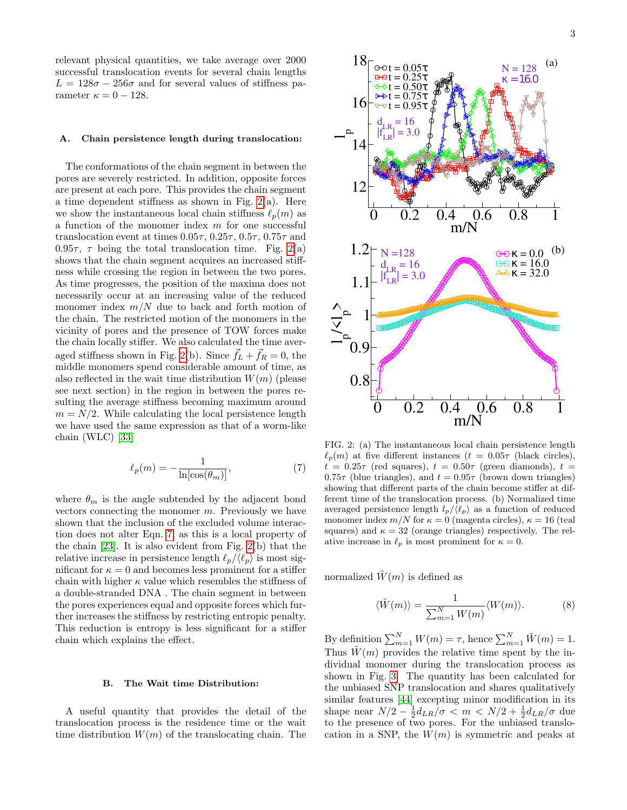relevant physical quantities, we take average over 2000 successful translocation events for several chain lengths  $L = 128\sigma - 256\sigma$  and for several values of stiffness parameter  $\kappa = 0 - 128$ .

### A. Chain persistence length during translocation:

The conformations of the chain segment in between the pores are severely restricted. In addition, opposite forces are present at each pore. This provides the chain segment a time dependent stiffness as shown in Fig.  $2(a)$ . Here we show the instantaneous local chain stiffness  $\ell_p(m)$  as a function of the monomer index  $m$  for one successful translocation event at times  $0.05\tau$ ,  $0.25\tau$ ,  $0.5\tau$ ,  $0.75\tau$  and 0.95 $\tau$ ,  $\tau$  being the total translocation time. Fig. [2\(](#page-2-0)a) shows that the chain segment acquires an increased stiffness while crossing the region in between the two pores. As time progresses, the position of the maxima does not necessarily occur at an increasing value of the reduced monomer index  $m/N$  due to back and forth motion of the chain. The restricted motion of the monomers in the vicinity of pores and the presence of TOW forces make the chain locally stiffer. We also calculated the time aver-aged stiffness shown in Fig. [2\(](#page-2-0)b). Since  $\vec{f}_L + \vec{f}_R = 0$ , the middle monomers spend considerable amount of time, as also reflected in the wait time distribution  $W(m)$  (please see next section) in the region in between the pores resulting the average stiffness becoming maximum around  $m = N/2$ . While calculating the local persistence length we have used the same expression as that of a worm-like chain (WLC) [\[33\]](#page-7-4)

<span id="page-2-1"></span>
$$
\ell_p(m) = -\frac{1}{\ln[\cos(\theta_m)]},\tag{7}
$$

where  $\theta_m$  is the angle subtended by the adjacent bond vectors connecting the monomer  $m$ . Previously we have shown that the inclusion of the excluded volume interaction does not alter Eqn. [7,](#page-2-1) as this is a local property of the chain [\[23\]](#page-6-19). It is also evident from Fig. [2\(](#page-2-0)b) that the relative increase in persistence length  $\ell_p/\langle \ell_p \rangle$  is most significant for  $\kappa = 0$  and becomes less prominent for a stiffer chain with higher  $\kappa$  value which resembles the stiffness of a double-stranded DNA . The chain segment in between the pores experiences equal and opposite forces which further increases the stiffness by restricting entropic penalty. This reduction is entropy is less significant for a stiffer chain which explains the effect.

#### B. The Wait time Distribution:

A useful quantity that provides the detail of the translocation process is the residence time or the wait



<span id="page-2-0"></span>FIG. 2: (a) The instantaneous local chain persistence length  $\ell_p(m)$  at five different instances  $(t = 0.05\tau$  (black circles),  $t = 0.25\tau$  (red squares),  $t = 0.50\tau$  (green diamonds),  $t =$  $0.75\tau$  (blue triangles), and  $t = 0.95\tau$  (brown down triangles) showing that different parts of the chain become stiffer at different time of the translocation process. (b) Normalized time averaged persistence length  $l_p/\langle \ell_p \rangle$  as a function of reduced monomer index  $m/N$  for  $\kappa = 0$  (magenta circles),  $\kappa = 16$  (teal squares) and  $\kappa = 32$  (orange triangles) respectively. The relative increase in  $\ell_p$  is most prominent for  $\kappa = 0$ .

normalized  $\tilde{W}(m)$  is defined as

$$
\langle \tilde{W}(m) \rangle = \frac{1}{\sum_{m=1}^{N} W(m)} \langle W(m) \rangle.
$$
 (8)

By definition  $\sum_{m=1}^{N} W(m) = \tau$ , hence  $\sum_{m=1}^{N} \tilde{W}(m) = 1$ . Thus  $\hat{W}(m)$  provides the relative time spent by the individual monomer during the translocation process as shown in Fig. [3.](#page-3-0) The quantity has been calculated for the unbiased SNP translocation and shares qualitatively similar features [\[44\]](#page-7-5) excepting minor modification in its shape near  $N/2 - \frac{1}{2} d_{LR}/\sigma < m < N/2 + \frac{1}{2} d_{LR}/\sigma$  due to the presence of two pores. For the unbiased translocation in a SNP, the  $W(m)$  is symmetric and peaks at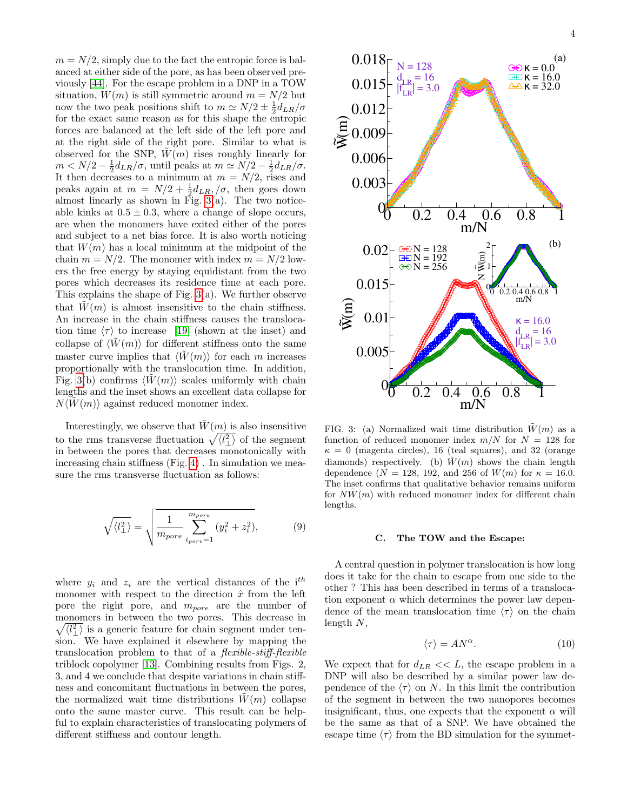$m = N/2$ , simply due to the fact the entropic force is balanced at either side of the pore, as has been observed previously [\[44\]](#page-7-5). For the escape problem in a DNP in a TOW situation,  $W(m)$  is still symmetric around  $m = N/2$  but now the two peak positions shift to  $m \simeq N/2 \pm \frac{1}{2} d_{LR}/\sigma$ for the exact same reason as for this shape the entropic forces are balanced at the left side of the left pore and at the right side of the right pore. Similar to what is observed for the SNP,  $W(m)$  rises roughly linearly for  $m < N/2 - \frac{1}{2}d_{LR}/\sigma$ , until peaks at  $m \simeq N/2 - \frac{1}{2}d_{LR}/\sigma$ . It then decreases to a minimum at  $m = N/2$ , rises and peaks again at  $m = N/2 + \frac{1}{2}d_{LR}, /\sigma$ , then goes down almost linearly as shown in Fig.  $3(a)$ . The two noticeable kinks at  $0.5 \pm 0.3$ , where a change of slope occurs, are when the monomers have exited either of the pores and subject to a net bias force. It is also worth noticing that  $W(m)$  has a local minimum at the midpoint of the chain  $m = N/2$ . The monomer with index  $m = N/2$  lowers the free energy by staying equidistant from the two pores which decreases its residence time at each pore. This explains the shape of Fig. [3\(](#page-3-0)a). We further observe that  $\tilde{W}(m)$  is almost insensitive to the chain stiffness. An increase in the chain stiffness causes the translocation time  $\langle \tau \rangle$  to increase [\[19\]](#page-6-15) (shown at the inset) and collapse of  $\langle \tilde{W}(m) \rangle$  for different stiffness onto the same master curve implies that  $\langle W(m) \rangle$  for each m increases proportionally with the translocation time. In addition, Fig. [3\(](#page-3-0)b) confirms  $\langle W(m) \rangle$  scales uniformly with chain lengths and the inset shows an excellent data collapse for  $N\langle W(m)\rangle$  against reduced monomer index.

Interestingly, we observe that  $\tilde{W}(m)$  is also insensitive to the rms transverse fluctuation  $\sqrt{\langle l_{\perp}^2 \rangle}$  of the segment in between the pores that decreases monotonically with increasing chain stiffness (Fig. [4\)](#page-4-0) . In simulation we measure the rms transverse fluctuation as follows:

$$
\sqrt{\langle l_{\perp}^2 \rangle} = \sqrt{\frac{1}{m_{pore}}} \sum_{i_{pore}=1}^{m_{pore}} (y_i^2 + z_i^2),
$$
\n(9)

where  $y_i$  and  $z_i$  are the vertical distances of the i<sup>th</sup> monomer with respect to the direction  $\hat{x}$  from the left pore the right pore, and  $m_{pore}$  are the number of monomers in between the two pores. This decrease in  $\sqrt{\langle l_{\perp}^2 \rangle}$  is a generic feature for chain segment under tension. We have explained it elsewhere by mapping the translocation problem to that of a flexible-stiff-flexible triblock copolymer [\[13\]](#page-6-10). Combining results from Figs. 2, 3, and 4 we conclude that despite variations in chain stiffness and concomitant fluctuations in between the pores, the normalized wait time distributions  $\tilde{W}(m)$  collapse onto the same master curve. This result can be helpful to explain characteristics of translocating polymers of



<span id="page-3-0"></span>FIG. 3: (a) Normalized wait time distribution  $\tilde{W}(m)$  as a function of reduced monomer index  $m/N$  for  $N = 128$  for  $\kappa = 0$  (magenta circles), 16 (teal squares), and 32 (orange diamonds) respectively. (b)  $\tilde{W}(m)$  shows the chain length dependence ( $N = 128$ , 192, and 256 of  $W(m)$  for  $\kappa = 16.0$ . The inset confirms that qualitative behavior remains uniform for  $N\tilde{W}(m)$  with reduced monomer index for different chain lengths.

# C. The TOW and the Escape:

A central question in polymer translocation is how long does it take for the chain to escape from one side to the other ? This has been described in terms of a translocation exponent  $\alpha$  which determines the power law dependence of the mean translocation time  $\langle \tau \rangle$  on the chain length N,

$$
\langle \tau \rangle = A N^{\alpha}.
$$
 (10)

We expect that for  $d_{LR} \ll L$ , the escape problem in a DNP will also be described by a similar power law dependence of the  $\langle \tau \rangle$  on N. In this limit the contribution of the segment in between the two nanopores becomes insignificant, thus, one expects that the exponent  $\alpha$  will be the same as that of a SNP. We have obtained the escape time  $\langle \tau \rangle$  from the BD simulation for the symmet-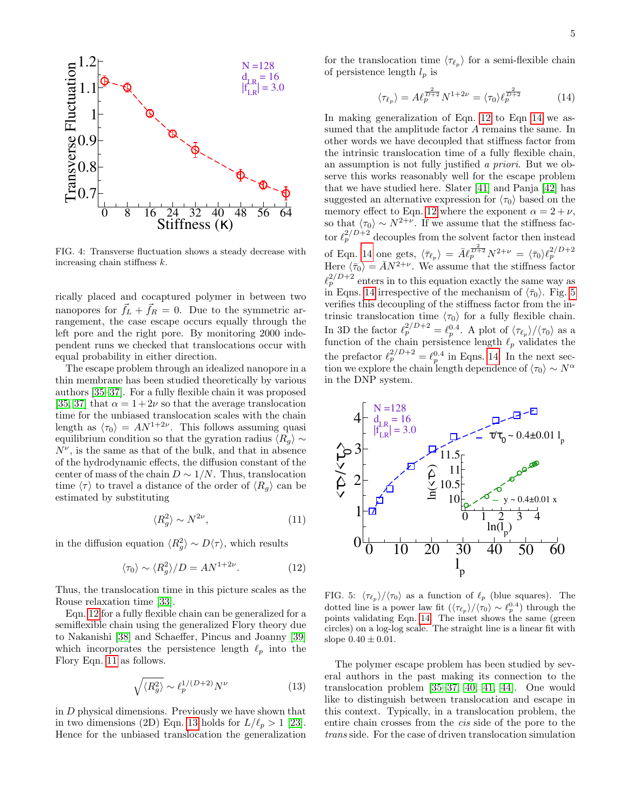

<span id="page-4-0"></span>FIG. 4: Transverse fluctuation shows a steady decrease with increasing chain stiffness k.

rically placed and cocaptured polymer in between two nanopores for  $\vec{f}_L + \vec{f}_R = 0$ . Due to the symmetric arrangement, the case escape occurs equally through the left pore and the right pore. By monitoring 2000 independent runs we checked that translocations occur with equal probability in either direction.

The escape problem through an idealized nanopore in a thin membrane has been studied theoretically by various authors [\[35](#page-7-6)[–37\]](#page-7-7). For a fully flexible chain it was proposed [\[35,](#page-7-6) [37\]](#page-7-7) that  $\alpha = 1+2\nu$  so that the average translocation time for the unbiased translocation scales with the chain length as  $\langle \tau_0 \rangle = AN^{1+2\nu}$ . This follows assuming quasi equilibrium condition so that the gyration radius  $\langle R_g \rangle \sim$  $N^{\nu}$ , is the same as that of the bulk, and that in absence of the hydrodynamic effects, the diffusion constant of the center of mass of the chain  $D \sim 1/N$ . Thus, translocation time  $\langle \tau \rangle$  to travel a distance of the order of  $\langle R_q \rangle$  can be estimated by substituting

<span id="page-4-2"></span>
$$
\langle R_g^2 \rangle \sim N^{2\nu},\tag{11}
$$

in the diffusion equation  $\langle R_g^2 \rangle \sim D\langle \tau \rangle$ , which results

<span id="page-4-1"></span>
$$
\langle \tau_0 \rangle \sim \langle R_g^2 \rangle / D = A N^{1+2\nu}.
$$
 (12)

Thus, the translocation time in this picture scales as the Rouse relaxation time [\[33\]](#page-7-4).

Eqn. [12](#page-4-1) for a fully flexible chain can be generalized for a semiflexible chain using the generalized Flory theory due to Nakanishi [\[38\]](#page-7-8) and Schaeffer, Pincus and Joanny [\[39\]](#page-7-9) which incorporates the persistence length  $\ell_p$  into the Flory Eqn. [11](#page-4-2) as follows.

<span id="page-4-3"></span>
$$
\sqrt{\langle R_g^2 \rangle} \sim \ell_p^{1/(D+2)} N^{\nu}
$$
\n(13)

in D physical dimensions. Previously we have shown that in two dimensions (2D) Eqn. [13](#page-4-3) holds for  $L/\ell_p > 1$  [\[23\]](#page-6-19). Hence for the unbiased translocation the generalization

for the translocation time  $\langle \tau_{\ell_p} \rangle$  for a semi-flexible chain of persistence length  $l_p$  is

<span id="page-4-4"></span>
$$
\langle \tau_{\ell_p} \rangle = A \ell_p^{\frac{2}{D+2}} N^{1+2\nu} = \langle \tau_0 \rangle \ell_p^{\frac{2}{D+2}} \tag{14}
$$

In making generalization of Eqn. [12](#page-4-1) to Eqn [14](#page-4-4) we assumed that the amplitude factor A remains the same. In other words we have decoupled that stiffness factor from the intrinsic translocation time of a fully flexible chain, an assumption is not fully justified a priori. But we observe this works reasonably well for the escape problem that we have studied here. Slater [\[41\]](#page-7-10) and Panja [\[42\]](#page-7-11) has suggested an alternative expression for  $\langle \tau_0 \rangle$  based on the memory effect to Eqn. [12](#page-4-1) where the exponent  $\alpha = 2 + \nu$ , so that  $\langle \tau_0 \rangle \sim N^{2+\nu}$ . If we assume that the stiffness factor  $\ell_p^{2/D+2}$  decouples from the solvent factor then instead of Eqn. [14](#page-4-4) one gets,  $\langle \bar{\tau}_{\ell_p} \rangle = \bar{A} \ell_p^{\frac{2}{D+2}} N^{2+\nu} = \langle \bar{\tau}_0 \rangle \ell_p^{2/D+2}$ <br>Here  $\langle \bar{\tau}_0 \rangle = \bar{A} N^{2+\nu}$ . We assume that the stiffness factor  $\ell_p^{2/D+2}$  enters in to this equation exactly the same way as in Eqns. [14](#page-4-4) irrespective of the mechanism of  $\langle \bar{\tau}_0 \rangle$ . Fig. [5](#page-4-5) verifies this decoupling of the stiffness factor from the intrinsic translocation time  $\langle \tau_0 \rangle$  for a fully flexible chain. In 3D the factor  $\ell_p^{2/D+2} = \ell_p^{0.4}$ . A plot of  $\langle \tau_{\ell_p} \rangle / \langle \tau_0 \rangle$  as a function of the chain persistence length  $\ell_p$  validates the the prefactor  $\ell_p^{2/D+2} = \ell_p^{0.4}$  in Eqns. [14.](#page-4-4) In the next section we explore the chain length dependence of  $\langle \tau_0 \rangle \sim N^{\alpha}$ in the DNP system.



<span id="page-4-5"></span>FIG. 5:  $\langle \tau_{\ell_p} \rangle / \langle \tau_0 \rangle$  as a function of  $\ell_p$  (blue squares). The dotted line is a power law fit  $(\langle \tau_{\ell_p} \rangle / \langle \tau_0 \rangle \sim \ell_p^{0.4})$  through the points validating Eqn. [14.](#page-4-4) The inset shows the same (green circles) on a log-log scale. The straight line is a linear fit with slope  $0.40 \pm 0.01$ .

The polymer escape problem has been studied by several authors in the past making its connection to the translocation problem [\[35–](#page-7-6)[37,](#page-7-7) [40,](#page-7-12) [41,](#page-7-10) [44\]](#page-7-5). One would like to distinguish between translocation and escape in this context. Typically, in a translocation problem, the entire chain crosses from the cis side of the pore to the trans side. For the case of driven translocation simulation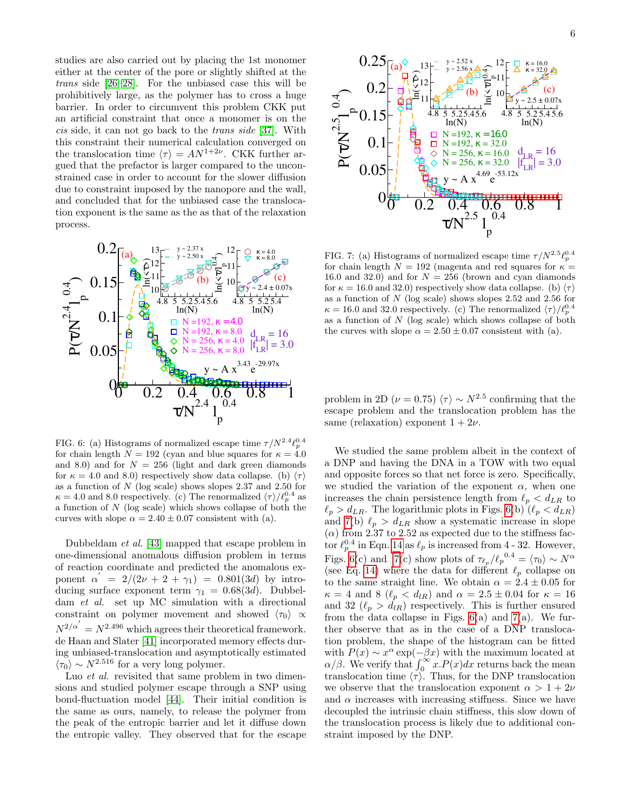studies are also carried out by placing the 1st monomer either at the center of the pore or slightly shifted at the trans side [\[26–](#page-6-21)[28\]](#page-7-13). For the unbiased case this will be prohibitively large, as the polymer has to cross a huge barrier. In order to circumvent this problem CKK put an artificial constraint that once a monomer is on the cis side, it can not go back to the trans side [\[37\]](#page-7-7). With this constraint their numerical calculation converged on the translocation time  $\langle \tau \rangle = AN^{1+2\nu}$ . CKK further argued that the prefactor is larger compared to the unconstrained case in order to account for the slower diffusion due to constraint imposed by the nanopore and the wall, and concluded that for the unbiased case the translocation exponent is the same as the as that of the relaxation process.



<span id="page-5-0"></span>FIG. 6: (a) Histograms of normalized escape time  $\tau/N^{2.4}\ell_p^{0.4}$ for chain length  $N = 192$  (cyan and blue squares for  $\kappa = 4.0$ and 8.0) and for  $N = 256$  (light and dark green diamonds for  $\kappa = 4.0$  and 8.0) respectively show data collapse. (b)  $\langle \tau \rangle$ as a function of  $N$  (log scale) shows slopes 2.37 and 2.50 for  $\kappa = 4.0$  and 8.0 respectively. (c) The renormalized  $\langle \tau \rangle / \ell_p^{0.4}$  as a function of N (log scale) which shows collapse of both the curves with slope  $\alpha = 2.40 \pm 0.07$  consistent with (a).

Dubbeldam et al. [\[43\]](#page-7-14) mapped that escape problem in one-dimensional anomalous diffusion problem in terms of reaction coordinate and predicted the anomalous exponent  $\alpha' = 2/(2\nu + 2 + \gamma_1) = 0.801(3d)$  by introducing surface exponent term  $\gamma_1 = 0.68(3d)$ . Dubbeldam et al. set up MC simulation with a directional constraint on polymer movement and showed  $\langle \tau_0 \rangle \propto$  $N^{2/\alpha'} = N^{2.496}$  which agrees their theoretical framework. de Haan and Slater [\[41\]](#page-7-10) incorporated memory effects during unbiased-translocation and asymptotically estimated  $\langle \tau_0 \rangle \sim N^{2.516}$  for a very long polymer.

Luo *et al.* revisited that same problem in two dimensions and studied polymer escape through a SNP using bond-fluctuation model [\[44\]](#page-7-5). Their initial condition is the same as ours, namely, to release the polymer from the peak of the entropic barrier and let it diffuse down the entropic valley. They observed that for the escape



<span id="page-5-1"></span>FIG. 7: (a) Histograms of normalized escape time  $\tau/N^{2.5}\ell_p^{0.4}$ for chain length  $N = 192$  (magenta and red squares for  $\kappa =$ 16.0 and 32.0) and for  $N = 256$  (brown and cyan diamonds for  $\kappa = 16.0$  and 32.0) respectively show data collapse. (b)  $\langle \tau \rangle$ as a function of N (log scale) shows slopes 2.52 and 2.56 for  $\kappa = 16.0$  and 32.0 respectively. (c) The renormalized  $\langle \tau \rangle / \ell_p^{0.4}$ as a function of  $N$  (log scale) which shows collapse of both the curves with slope  $\alpha = 2.50 \pm 0.07$  consistent with (a).

problem in 2D ( $\nu = 0.75$ )  $\langle \tau \rangle \sim N^{2.5}$  confirming that the escape problem and the translocation problem has the same (relaxation) exponent  $1 + 2\nu$ .

We studied the same problem albeit in the context of a DNP and having the DNA in a TOW with two equal and opposite forces so that net force is zero. Specifically, we studied the variation of the exponent  $\alpha$ , when one increases the chain persistence length from  $\ell_p < d_{LR}$  to  $\ell_p > d_{LR}$ . The logarithmic plots in Figs. [6\(](#page-5-0)b) ( $\ell_p < d_{LR}$ ) and [7\(](#page-5-1)b)  $\ell_p > d_{LR}$  show a systematic increase in slope  $(\alpha)$  from 2.37 to 2.52 as expected due to the stiffness factor  $\ell_p^{0.4}$  in Eqn. [14](#page-4-4) as  $\ell_p$  is increased from 4 - 32. However, Figs. [6\(](#page-5-0)c) and [7\(](#page-5-1)c) show plots of  $\tau_{\ell_p}/\ell_p^{0.4} = \langle \tau_0 \rangle \sim N^{\alpha}$ (see Eq. [14\)](#page-4-4) where the data for different  $\ell_p$  collapse on to the same straight line. We obtain  $\alpha = 2.4 \pm 0.05$  for  $\kappa = 4$  and 8 ( $\ell_p < d_{lR}$ ) and  $\alpha = 2.5 \pm 0.04$  for  $\kappa = 16$ and 32  $(\ell_p > d_{IR})$  respectively. This is further ensured from the data collapse in Figs.  $6(a)$  and  $7(a)$ . We further observe that as in the case of a DNP translocation problem, the shape of the histogram can be fitted with  $P(x) \sim x^{\alpha} \exp(-\beta x)$  with the maximum located at  $\alpha/\beta$ . We verify that  $\int_0^\infty x P(x) dx$  returns back the mean translocation time  $\langle \tau \rangle$ . Thus, for the DNP translocation we observe that the translocation exponent  $\alpha > 1 + 2\nu$ and  $\alpha$  increases with increasing stiffness. Since we have decoupled the intrinsic chain stiffness, this slow down of the translocation process is likely due to additional constraint imposed by the DNP.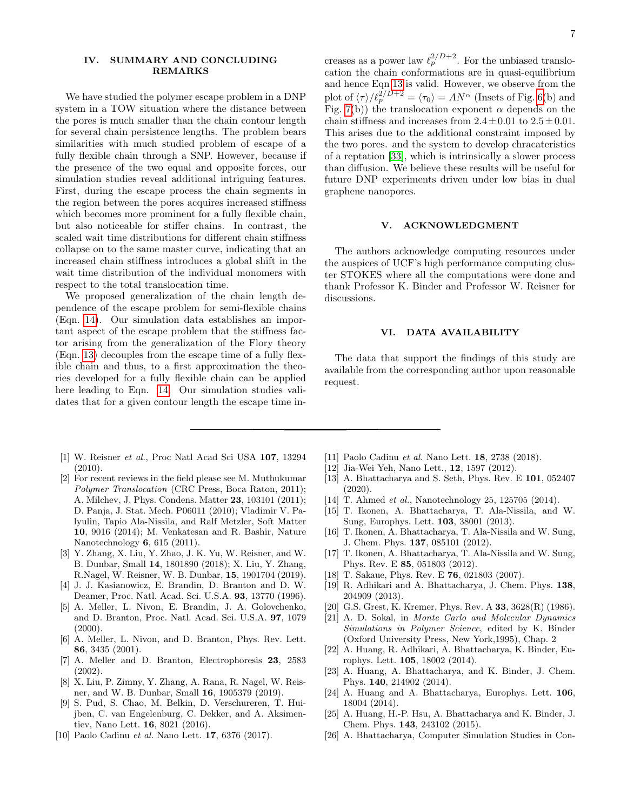## IV. SUMMARY AND CONCLUDING REMARKS

We have studied the polymer escape problem in a DNP system in a TOW situation where the distance between the pores is much smaller than the chain contour length for several chain persistence lengths. The problem bears similarities with much studied problem of escape of a fully flexible chain through a SNP. However, because if the presence of the two equal and opposite forces, our simulation studies reveal additional intriguing features. First, during the escape process the chain segments in the region between the pores acquires increased stiffness which becomes more prominent for a fully flexible chain, but also noticeable for stiffer chains. In contrast, the scaled wait time distributions for different chain stiffness collapse on to the same master curve, indicating that an increased chain stiffness introduces a global shift in the wait time distribution of the individual monomers with respect to the total translocation time.

We proposed generalization of the chain length dependence of the escape problem for semi-flexible chains (Eqn. [14\)](#page-4-4). Our simulation data establishes an important aspect of the escape problem that the stiffness factor arising from the generalization of the Flory theory (Eqn. [13\)](#page-4-3) decouples from the escape time of a fully flexible chain and thus, to a first approximation the theories developed for a fully flexible chain can be applied here leading to Eqn. [14.](#page-4-4) Our simulation studies validates that for a given contour length the escape time in-

- <span id="page-6-0"></span>[1] W. Reisner et al., Proc Natl Acad Sci USA 107, 13294 (2010).
- <span id="page-6-1"></span>[2] For recent reviews in the field please see M. Muthukumar Polymer Translocation (CRC Press, Boca Raton, 2011); A. Milchev, J. Phys. Condens. Matter 23, 103101 (2011); D. Panja, J. Stat. Mech. P06011 (2010); Vladimir V. Palyulin, Tapio Ala-Nissila, and Ralf Metzler, Soft Matter 10, 9016 (2014); M. Venkatesan and R. Bashir, Nature Nanotechnology 6, 615 (2011).
- <span id="page-6-2"></span>[3] Y. Zhang, X. Liu, Y. Zhao, J. K. Yu, W. Reisner, and W. B. Dunbar, Small 14, 1801890 (2018); X. Liu, Y. Zhang, R.Nagel, W. Reisner, W. B. Dunbar, 15, 1901704 (2019).
- <span id="page-6-3"></span>[4] J. J. Kasianowicz, E. Brandin, D. Branton and D. W. Deamer, Proc. Natl. Acad. Sci. U.S.A. 93, 13770 (1996).
- [5] A. Meller, L. Nivon, E. Brandin, J. A. Golovchenko, and D. Branton, Proc. Natl. Acad. Sci. U.S.A. 97, 1079  $(2000).$
- [6] A. Meller, L. Nivon, and D. Branton, Phys. Rev. Lett. 86, 3435 (2001).
- <span id="page-6-4"></span>[7] A. Meller and D. Branton, Electrophoresis 23, 2583 (2002).
- <span id="page-6-5"></span>[8] X. Liu, P. Zimny, Y. Zhang, A. Rana, R. Nagel, W. Reisner, and W. B. Dunbar, Small 16, 1905379 (2019).
- <span id="page-6-6"></span>[9] S. Pud, S. Chao, M. Belkin, D. Verschureren, T. Huijben, C. van Engelenburg, C. Dekker, and A. Aksimentiev, Nano Lett. 16, 8021 (2016).
- <span id="page-6-7"></span>[10] Paolo Cadinu et al. Nano Lett. 17, 6376 (2017).
- <span id="page-6-8"></span>[11] Paolo Cadinu et al. Nano Lett. 18, 2738 (2018).
- <span id="page-6-9"></span>[12] Jia-Wei Yeh, Nano Lett., 12, 1597 (2012).
- <span id="page-6-10"></span>[13] A. Bhattacharya and S. Seth, Phys. Rev. E 101, 052407 (2020).
- <span id="page-6-11"></span>[14] T. Ahmed *et al.*, Nanotechnology 25, 125705 (2014).
- <span id="page-6-12"></span>[15] T. Ikonen, A. Bhattacharya, T. Ala-Nissila, and W. Sung, Europhys. Lett. 103, 38001 (2013).
- [16] T. Ikonen, A. Bhattacharya, T. Ala-Nissila and W. Sung, J. Chem. Phys. 137, 085101 (2012).
- <span id="page-6-13"></span>[17] T. Ikonen, A. Bhattacharya, T. Ala-Nissila and W. Sung, Phys. Rev. E 85, 051803 (2012).
- <span id="page-6-14"></span>[18] T. Sakaue, Phys. Rev. E 76, 021803 (2007).
- <span id="page-6-15"></span>[19] R. Adhikari and A. Bhattacharya, J. Chem. Phys. 138, 204909 (2013).
- <span id="page-6-16"></span>[20] G.S. Grest, K. Kremer, Phys. Rev. A 33, 3628(R) (1986).
- <span id="page-6-17"></span>[21] A. D. Sokal, in Monte Carlo and Molecular Dynamics Simulations in Polymer Science, edited by K. Binder (Oxford University Press, New York,1995), Chap. 2
- <span id="page-6-18"></span>[22] A. Huang, R. Adhikari, A. Bhattacharya, K. Binder, Europhys. Lett. 105, 18002 (2014).
- <span id="page-6-19"></span>[23] A. Huang, A. Bhattacharya, and K. Binder, J. Chem. Phys. 140, 214902 (2014).
- [24] A. Huang and A. Bhattacharya, Europhys. Lett. 106, 18004 (2014).
- <span id="page-6-20"></span>[25] A. Huang, H.-P. Hsu, A. Bhattacharya and K. Binder, J. Chem. Phys. 143, 243102 (2015).
- <span id="page-6-21"></span>[26] A. Bhattacharya, Computer Simulation Studies in Con-

creases as a power law  $\ell_p^{2/D+2}$ . For the unbiased translocation the chain conformations are in quasi-equilibrium and hence Eqn [13](#page-4-3) is valid. However, we observe from the plot of  $\langle \tau \rangle / \ell_p^{2/D+2} = \langle \tau_0 \rangle = AN^{\alpha}$  (Insets of Fig. [6\(](#page-5-0)b) and Fig. [7\(](#page-5-1)b)) the translocation exponent  $\alpha$  depends on the chain stiffness and increases from  $2.4 \pm 0.01$  to  $2.5 \pm 0.01$ . This arises due to the additional constraint imposed by the two pores. and the system to develop chracateristics of a reptation [\[33\]](#page-7-4), which is intrinsically a slower process than diffusion. We believe these results will be useful for future DNP experiments driven under low bias in dual graphene nanopores.

#### V. ACKNOWLEDGMENT

The authors acknowledge computing resources under the auspices of UCF's high performance computing cluster STOKES where all the computations were done and thank Professor K. Binder and Professor W. Reisner for discussions.

## VI. DATA AVAILABILITY

The data that support the findings of this study are available from the corresponding author upon reasonable request.